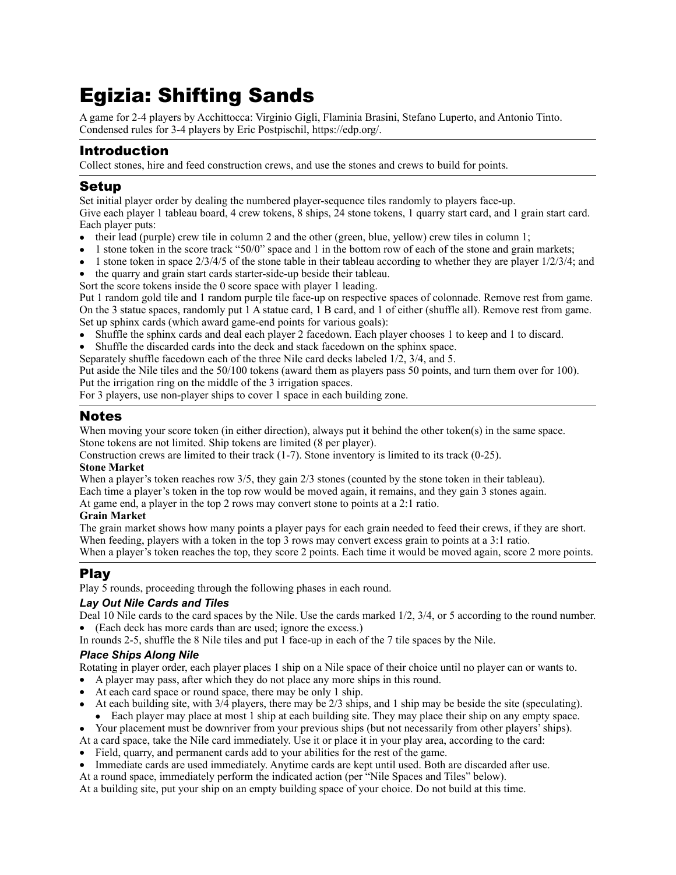# Egizia: Shifting Sands

A game for 2-4 players by Acchittocca: Virginio Gigli, Flaminia Brasini, Stefano Luperto, and Antonio Tinto. Condensed rules for 3-4 players by Eric Postpischil, <https://edp.org/>.

# Introduction

Collect stones, hire and feed construction crews, and use the stones and crews to build for points.

## Setup

Set initial player order by dealing the numbered player-sequence tiles randomly to players face-up.

Give each player 1 tableau board, 4 crew tokens, 8 ships, 24 stone tokens, 1 quarry start card, and 1 grain start card. Each player puts:

- their lead (purple) crew tile in column 2 and the other (green, blue, yellow) crew tiles in column 1;
- 1 stone token in the score track "50/0" space and 1 in the bottom row of each of the stone and grain markets;
- $\bullet$  1 stone token in space 2/3/4/5 of the stone table in their tableau according to whether they are player  $1/2/3/4$ ; and
- the quarry and grain start cards starter-side-up beside their tableau.

Sort the score tokens inside the 0 score space with player 1 leading.

Put 1 random gold tile and 1 random purple tile face-up on respective spaces of colonnade. Remove rest from game. On the 3 statue spaces, randomly put 1 A statue card, 1 B card, and 1 of either (shuffle all). Remove rest from game. Set up sphinx cards (which award game-end points for various goals):

- Shuffle the sphinx cards and deal each player 2 facedown. Each player chooses 1 to keep and 1 to discard.
- Shuffle the discarded cards into the deck and stack facedown on the sphinx space.
- Separately shuffle facedown each of the three Nile card decks labeled 1/2, 3/4, and 5.

Put aside the Nile tiles and the 50/100 tokens (award them as players pass 50 points, and turn them over for 100). Put the irrigation ring on the middle of the 3 irrigation spaces.

For 3 players, use non-player ships to cover 1 space in each building zone.

### Notes

When moving your score token (in either direction), always put it behind the other token(s) in the same space. Stone tokens are not limited. Ship tokens are limited (8 per player).

Construction crews are limited to their track (1-7). Stone inventory is limited to its track (0-25).

#### **Stone Market**

When a player's token reaches row 3/5, they gain 2/3 stones (counted by the stone token in their tableau). Each time a player's token in the top row would be moved again, it remains, and they gain 3 stones again. At game end, a player in the top 2 rows may convert stone to points at a 2:1 ratio.

#### **Grain Market**

The grain market shows how many points a player pays for each grain needed to feed their crews, if they are short. When feeding, players with a token in the top 3 rows may convert excess grain to points at a 3:1 ratio. When a player's token reaches the top, they score 2 points. Each time it would be moved again, score 2 more points.

# Play

Play 5 rounds, proceeding through the following phases in each round.

#### *Lay Out Nile Cards and Tiles*

Deal 10 Nile cards to the card spaces by the Nile. Use the cards marked 1/2, 3/4, or 5 according to the round number. • (Each deck has more cards than are used; ignore the excess.)

In rounds 2-5, shuffle the 8 Nile tiles and put 1 face-up in each of the 7 tile spaces by the Nile.

#### *Place Ships Along Nile*

Rotating in player order, each player places 1 ship on a Nile space of their choice until no player can or wants to.

- A player may pass, after which they do not place any more ships in this round.
- At each card space or round space, there may be only 1 ship.
- At each building site, with 3/4 players, there may be 2/3 ships, and 1 ship may be beside the site (speculating). • Each player may place at most 1 ship at each building site. They may place their ship on any empty space.
- Your placement must be downriver from your previous ships (but not necessarily from other players' ships).
- At a card space, take the Nile card immediately. Use it or place it in your play area, according to the card:
- Field, quarry, and permanent cards add to your abilities for the rest of the game.
- Immediate cards are used immediately. Anytime cards are kept until used. Both are discarded after use.
- At a round space, immediately perform the indicated action (per "Nile Spaces and Tiles" below).

At a building site, put your ship on an empty building space of your choice. Do not build at this time.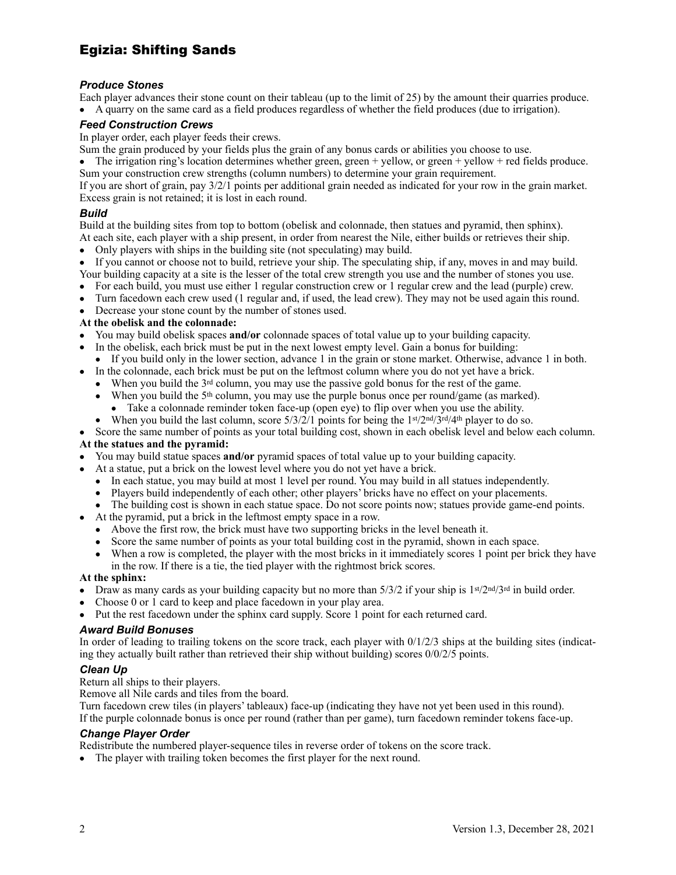# Egizia: Shifting Sands

#### *Produce Stones*

Each player advances their stone count on their tableau (up to the limit of 25) by the amount their quarries produce. • A quarry on the same card as a field produces regardless of whether the field produces (due to irrigation).

#### *Feed Construction Crews*

In player order, each player feeds their crews.

Sum the grain produced by your fields plus the grain of any bonus cards or abilities you choose to use.

• The irrigation ring's location determines whether green, green + yellow, or green + yellow + red fields produce. Sum your construction crew strengths (column numbers) to determine your grain requirement.

If you are short of grain, pay 3/2/1 points per additional grain needed as indicated for your row in the grain market. Excess grain is not retained; it is lost in each round.

#### *Build*

Build at the building sites from top to bottom (obelisk and colonnade, then statues and pyramid, then sphinx). At each site, each player with a ship present, in order from nearest the Nile, either builds or retrieves their ship.

- Only players with ships in the building site (not speculating) may build.
- If you cannot or choose not to build, retrieve your ship. The speculating ship, if any, moves in and may build. Your building capacity at a site is the lesser of the total crew strength you use and the number of stones you use.
- For each build, you must use either 1 regular construction crew or 1 regular crew and the lead (purple) crew.
- Turn facedown each crew used (1 regular and, if used, the lead crew). They may not be used again this round.
- Decrease your stone count by the number of stones used.

#### **At the obelisk and the colonnade:**

- You may build obelisk spaces **and/or** colonnade spaces of total value up to your building capacity.
- In the obelisk, each brick must be put in the next lowest empty level. Gain a bonus for building:
- If you build only in the lower section, advance 1 in the grain or stone market. Otherwise, advance 1 in both.
- In the colonnade, each brick must be put on the leftmost column where you do not yet have a brick.
	- When you build the 3<sup>rd</sup> column, you may use the passive gold bonus for the rest of the game.
		- When you build the 5<sup>th</sup> column, you may use the purple bonus once per round/game (as marked).
			- Take a colonnade reminder token face-up (open eye) to flip over when you use the ability.
	- When you build the last column, score  $5/3/2/1$  points for being the 1st/2nd/3rd/4th player to do so.

• Score the same number of points as your total building cost, shown in each obelisk level and below each column.

#### **At the statues and the pyramid:**

- You may build statue spaces **and/or** pyramid spaces of total value up to your building capacity.
- At a statue, put a brick on the lowest level where you do not yet have a brick.
	- In each statue, you may build at most 1 level per round. You may build in all statues independently.
	- Players build independently of each other; other players' bricks have no effect on your placements.
	- The building cost is shown in each statue space. Do not score points now; statues provide game-end points.
- At the pyramid, put a brick in the leftmost empty space in a row.
	- Above the first row, the brick must have two supporting bricks in the level beneath it.
	- Score the same number of points as your total building cost in the pyramid, shown in each space.
	- When a row is completed, the player with the most bricks in it immediately scores 1 point per brick they have in the row. If there is a tie, the tied player with the rightmost brick scores.

#### **At the sphinx:**

- Draw as many cards as your building capacity but no more than  $5/3/2$  if your ship is  $1$ <sup>st</sup>/2<sup>nd</sup>/3<sup>rd</sup> in build order.
- Choose 0 or 1 card to keep and place facedown in your play area.
- Put the rest facedown under the sphinx card supply. Score 1 point for each returned card.

#### *Award Build Bonuses*

In order of leading to trailing tokens on the score track, each player with  $0/1/2/3$  ships at the building sites (indicating they actually built rather than retrieved their ship without building) scores 0/0/2/5 points.

#### *Clean Up*

Return all ships to their players.

Remove all Nile cards and tiles from the board.

Turn facedown crew tiles (in players' tableaux) face-up (indicating they have not yet been used in this round). If the purple colonnade bonus is once per round (rather than per game), turn facedown reminder tokens face-up.

#### *Change Player Order*

Redistribute the numbered player-sequence tiles in reverse order of tokens on the score track.

• The player with trailing token becomes the first player for the next round.